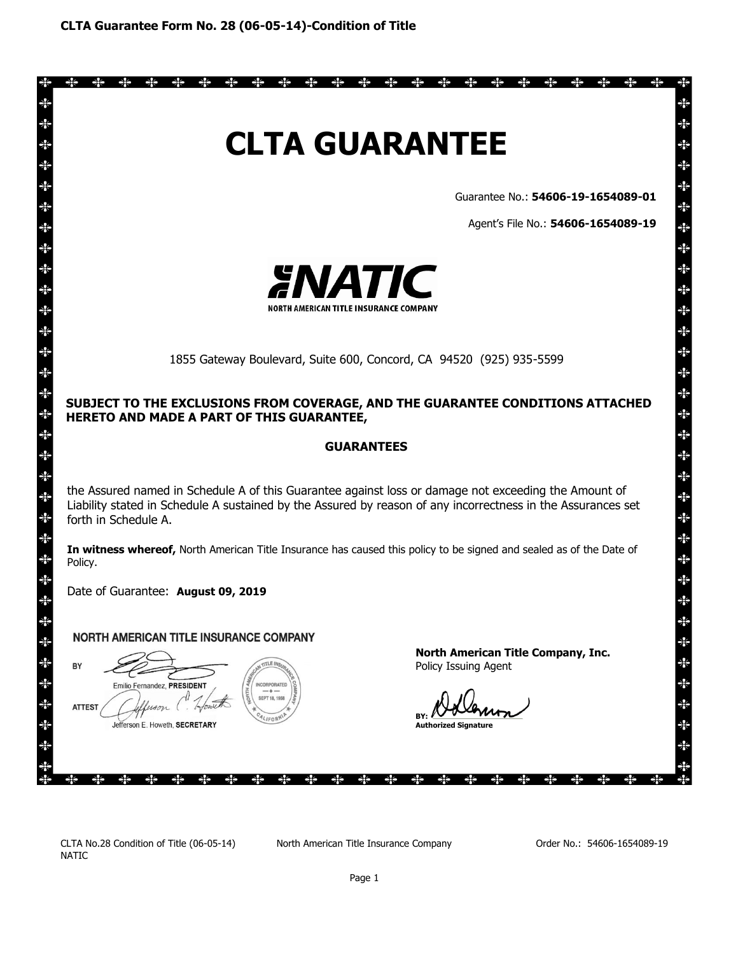

\* \* \* \* \* \* \* \* \* \* \* \* \*

Guarantee No.: **54606-19-1654089-01**

 $\Rightarrow \Leftrightarrow$ 

 $\Rightarrow$ 

⊰⊱

⊰⊱

☀

\*

举举举举举举举举举举举举举举举举举举举举举举举举举举举

∗

⋇ k

Agent's File No.: **54606-1654089-19**



1855 Gateway Boulevard, Suite 600, Concord, CA 94520 (925) 935-5599

## **SUBJECT TO THE EXCLUSIONS FROM COVERAGE, AND THE GUARANTEE CONDITIONS ATTACHED HERETO AND MADE A PART OF THIS GUARANTEE,**

### **GUARANTEES**

the Assured named in Schedule A of this Guarantee against loss or damage not exceeding the Amount of Liability stated in Schedule A sustained by the Assured by reason of any incorrectness in the Assurances set forth in Schedule A.

**In witness whereof,** North American Title Insurance has caused this policy to be signed and sealed as of the Date of Policy.

Date of Guarantee: **August 09, 2019**

**Emilio Fernandez PRESIDENT** 

lefferson F Howeth SECRETARY

## **NORTH AMERICAN TITLE INSURANCE COMPANY**

**SEPT 18, 1** 

BY **ATTEST** 

 $\Rightarrow \Leftrightarrow$ 

☀

\*

米米米米米米米米米米米米米米米

₩ ₩ \*

米米

\*

 $\Rightarrow$ 

 $\Rightarrow$ 

 $\Rightarrow \Leftrightarrow$ 

 $\frac{1}{2}$ 

 $\Rightarrow$ 

**North American Title Company, Inc.** Policy Issuing Agent

**BY:** 

**Authorized Signature** 

CLTA No.28 Condition of Title (06-05-14) NATIC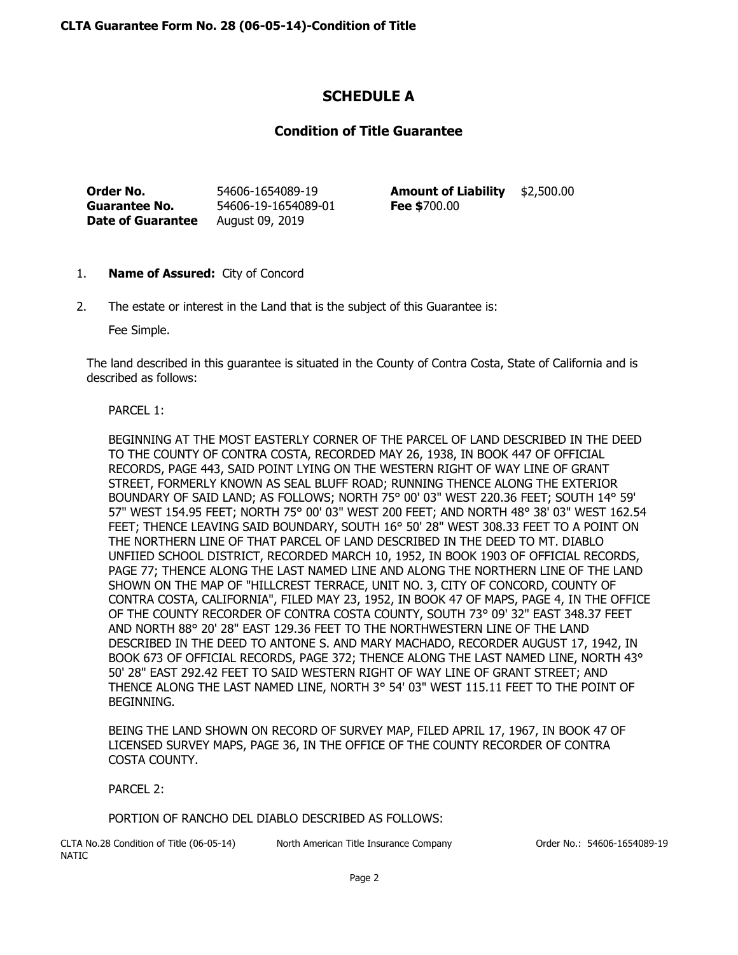# **SCHEDULE A**

## **Condition of Title Guarantee**

**Order No.** 54606-1654089-19 **Amount of Liability** \$2,500.00 **Guarantee No.** 54606-19-1654089-01 **Fee \$**700.00 **Date of Guarantee** August 09, 2019

- 1. **Name of Assured:** City of Concord
- 2. The estate or interest in the Land that is the subject of this Guarantee is:

Fee Simple.

The land described in this guarantee is situated in the County of Contra Costa, State of California and is described as follows:

## PARCEL 1:

BEGINNING AT THE MOST EASTERLY CORNER OF THE PARCEL OF LAND DESCRIBED IN THE DEED TO THE COUNTY OF CONTRA COSTA, RECORDED MAY 26, 1938, IN BOOK 447 OF OFFICIAL RECORDS, PAGE 443, SAID POINT LYING ON THE WESTERN RIGHT OF WAY LINE OF GRANT STREET, FORMERLY KNOWN AS SEAL BLUFF ROAD; RUNNING THENCE ALONG THE EXTERIOR BOUNDARY OF SAID LAND; AS FOLLOWS; NORTH 75° 00' 03" WEST 220.36 FEET; SOUTH 14° 59' 57" WEST 154.95 FEET; NORTH 75° 00' 03" WEST 200 FEET; AND NORTH 48° 38' 03" WEST 162.54 FEET; THENCE LEAVING SAID BOUNDARY, SOUTH 16° 50' 28" WEST 308.33 FEET TO A POINT ON THE NORTHERN LINE OF THAT PARCEL OF LAND DESCRIBED IN THE DEED TO MT. DIABLO UNFIIED SCHOOL DISTRICT, RECORDED MARCH 10, 1952, IN BOOK 1903 OF OFFICIAL RECORDS, PAGE 77; THENCE ALONG THE LAST NAMED LINE AND ALONG THE NORTHERN LINE OF THE LAND SHOWN ON THE MAP OF "HILLCREST TERRACE, UNIT NO. 3, CITY OF CONCORD, COUNTY OF CONTRA COSTA, CALIFORNIA", FILED MAY 23, 1952, IN BOOK 47 OF MAPS, PAGE 4, IN THE OFFICE OF THE COUNTY RECORDER OF CONTRA COSTA COUNTY, SOUTH 73° 09' 32" EAST 348.37 FEET AND NORTH 88° 20' 28" EAST 129.36 FEET TO THE NORTHWESTERN LINE OF THE LAND DESCRIBED IN THE DEED TO ANTONE S. AND MARY MACHADO, RECORDER AUGUST 17, 1942, IN BOOK 673 OF OFFICIAL RECORDS, PAGE 372; THENCE ALONG THE LAST NAMED LINE, NORTH 43° 50' 28" EAST 292.42 FEET TO SAID WESTERN RIGHT OF WAY LINE OF GRANT STREET; AND THENCE ALONG THE LAST NAMED LINE, NORTH 3° 54' 03" WEST 115.11 FEET TO THE POINT OF BEGINNING.

BEING THE LAND SHOWN ON RECORD OF SURVEY MAP, FILED APRIL 17, 1967, IN BOOK 47 OF LICENSED SURVEY MAPS, PAGE 36, IN THE OFFICE OF THE COUNTY RECORDER OF CONTRA COSTA COUNTY.

PARCEL 2:

PORTION OF RANCHO DEL DIABLO DESCRIBED AS FOLLOWS:

CLTA No.28 Condition of Title (06-05-14) NATIC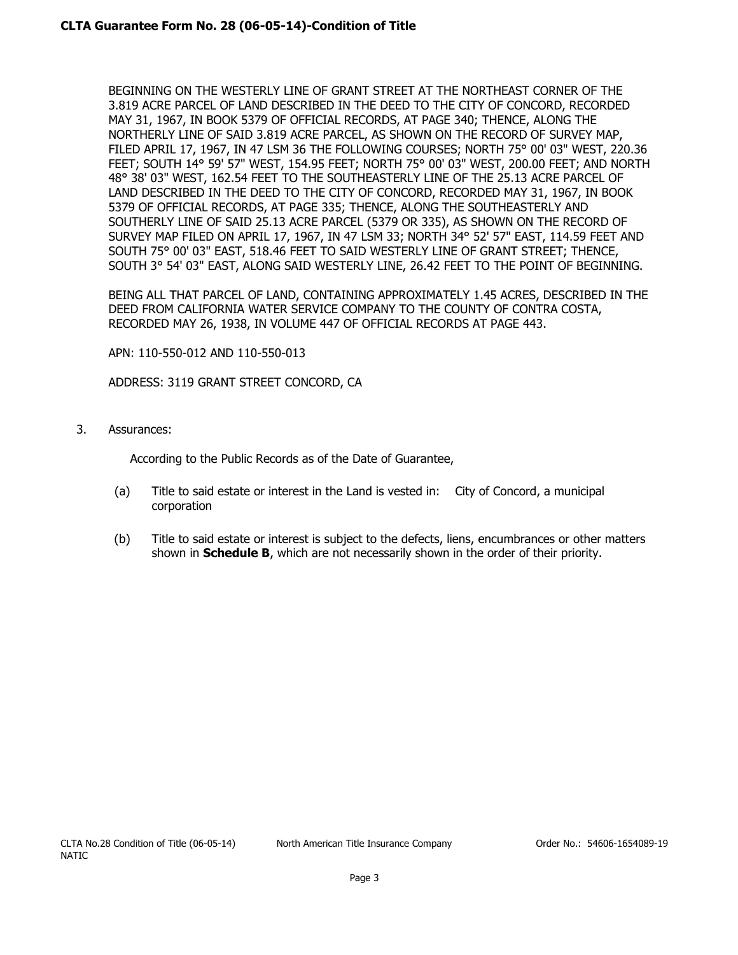BEGINNING ON THE WESTERLY LINE OF GRANT STREET AT THE NORTHEAST CORNER OF THE 3.819 ACRE PARCEL OF LAND DESCRIBED IN THE DEED TO THE CITY OF CONCORD, RECORDED MAY 31, 1967, IN BOOK 5379 OF OFFICIAL RECORDS, AT PAGE 340; THENCE, ALONG THE NORTHERLY LINE OF SAID 3.819 ACRE PARCEL, AS SHOWN ON THE RECORD OF SURVEY MAP, FILED APRIL 17, 1967, IN 47 LSM 36 THE FOLLOWING COURSES; NORTH 75° 00' 03" WEST, 220.36 FEET; SOUTH 14° 59' 57" WEST, 154.95 FEET; NORTH 75° 00' 03" WEST, 200.00 FEET; AND NORTH 48° 38' 03" WEST, 162.54 FEET TO THE SOUTHEASTERLY LINE OF THE 25.13 ACRE PARCEL OF LAND DESCRIBED IN THE DEED TO THE CITY OF CONCORD, RECORDED MAY 31, 1967, IN BOOK 5379 OF OFFICIAL RECORDS, AT PAGE 335; THENCE, ALONG THE SOUTHEASTERLY AND SOUTHERLY LINE OF SAID 25.13 ACRE PARCEL (5379 OR 335), AS SHOWN ON THE RECORD OF SURVEY MAP FILED ON APRIL 17, 1967, IN 47 LSM 33; NORTH 34° 52' 57" EAST, 114.59 FEET AND SOUTH 75° 00' 03" EAST, 518.46 FEET TO SAID WESTERLY LINE OF GRANT STREET; THENCE, SOUTH 3° 54' 03" EAST, ALONG SAID WESTERLY LINE, 26.42 FEET TO THE POINT OF BEGINNING.

BEING ALL THAT PARCEL OF LAND, CONTAINING APPROXIMATELY 1.45 ACRES, DESCRIBED IN THE DEED FROM CALIFORNIA WATER SERVICE COMPANY TO THE COUNTY OF CONTRA COSTA, RECORDED MAY 26, 1938, IN VOLUME 447 OF OFFICIAL RECORDS AT PAGE 443.

APN: 110-550-012 AND 110-550-013

ADDRESS: 3119 GRANT STREET CONCORD, CA

3. Assurances:

According to the Public Records as of the Date of Guarantee,

- (a) Title to said estate or interest in the Land is vested in: City of Concord, a municipal corporation
- (b) Title to said estate or interest is subject to the defects, liens, encumbrances or other matters shown in **Schedule B**, which are not necessarily shown in the order of their priority.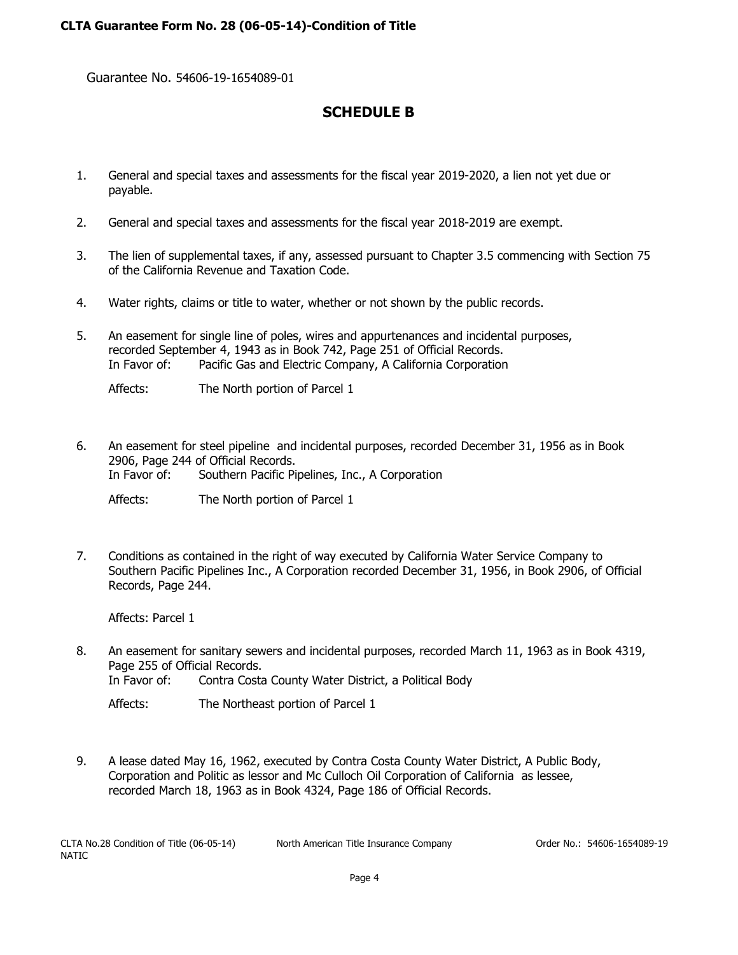Guarantee No. 54606-19-1654089-01

# **SCHEDULE B**

- 1. General and special taxes and assessments for the fiscal year 2019-2020, a lien not yet due or payable.
- 2. General and special taxes and assessments for the fiscal year 2018-2019 are exempt.
- 3. The lien of supplemental taxes, if any, assessed pursuant to Chapter 3.5 commencing with Section 75 of the California Revenue and Taxation Code.
- 4. Water rights, claims or title to water, whether or not shown by the public records.
- 5. An easement for single line of poles, wires and appurtenances and incidental purposes, recorded September 4, 1943 as in Book 742, Page 251 of Official Records. In Favor of: Pacific Gas and Electric Company, A California Corporation
	- Affects: The North portion of Parcel 1
- 6. An easement for steel pipeline and incidental purposes, recorded December 31, 1956 as in Book 2906, Page 244 of Official Records. In Favor of: Southern Pacific Pipelines, Inc., A Corporation

Affects: The North portion of Parcel 1

7. Conditions as contained in the right of way executed by California Water Service Company to Southern Pacific Pipelines Inc., A Corporation recorded December 31, 1956, in Book 2906, of Official Records, Page 244.

Affects: Parcel 1

8. An easement for sanitary sewers and incidental purposes, recorded March 11, 1963 as in Book 4319, Page 255 of Official Records. In Favor of: Contra Costa County Water District, a Political Body

Affects: The Northeast portion of Parcel 1

9. A lease dated May 16, 1962, executed by Contra Costa County Water District, A Public Body, Corporation and Politic as lessor and Mc Culloch Oil Corporation of California as lessee, recorded March 18, 1963 as in Book 4324, Page 186 of Official Records.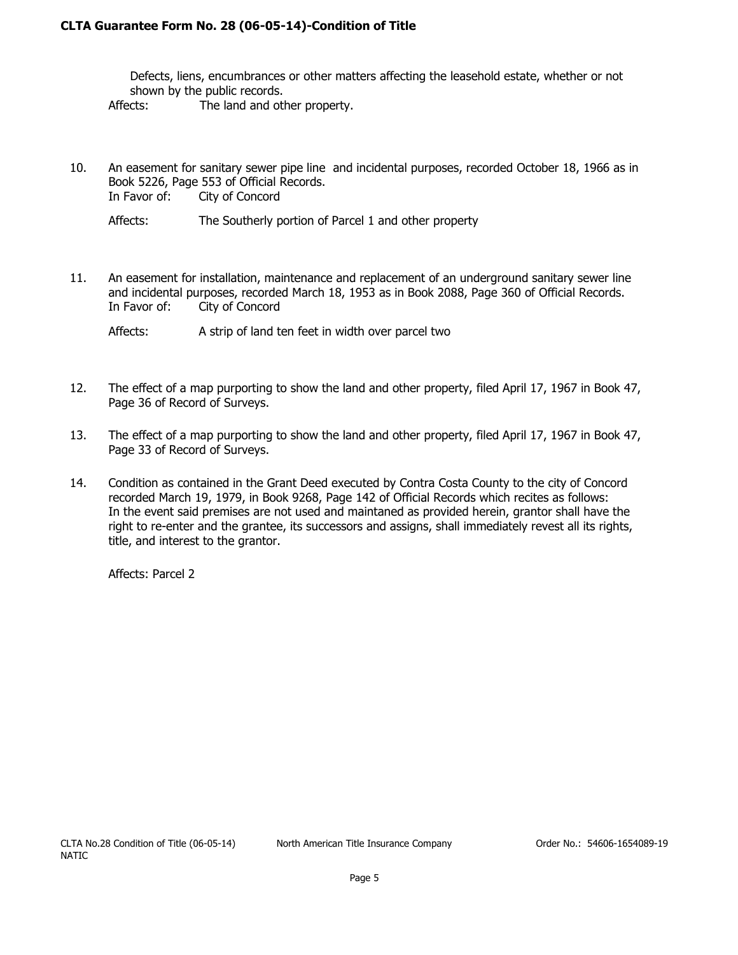## **CLTA Guarantee Form No. 28 (06-05-14)-Condition of Title**

Defects, liens, encumbrances or other matters affecting the leasehold estate, whether or not shown by the public records. Affects: The land and other property.

10. An easement for sanitary sewer pipe line and incidental purposes, recorded October 18, 1966 as in Book 5226, Page 553 of Official Records. In Favor of: City of Concord

Affects: The Southerly portion of Parcel 1 and other property

11. An easement for installation, maintenance and replacement of an underground sanitary sewer line and incidental purposes, recorded March 18, 1953 as in Book 2088, Page 360 of Official Records. In Favor of: City of Concord

Affects: A strip of land ten feet in width over parcel two

- 12. The effect of a map purporting to show the land and other property, filed April 17, 1967 in Book 47, Page 36 of Record of Surveys.
- 13. The effect of a map purporting to show the land and other property, filed April 17, 1967 in Book 47, Page 33 of Record of Surveys.
- 14. Condition as contained in the Grant Deed executed by Contra Costa County to the city of Concord recorded March 19, 1979, in Book 9268, Page 142 of Official Records which recites as follows: In the event said premises are not used and maintaned as provided herein, grantor shall have the right to re-enter and the grantee, its successors and assigns, shall immediately revest all its rights, title, and interest to the grantor.

Affects: Parcel 2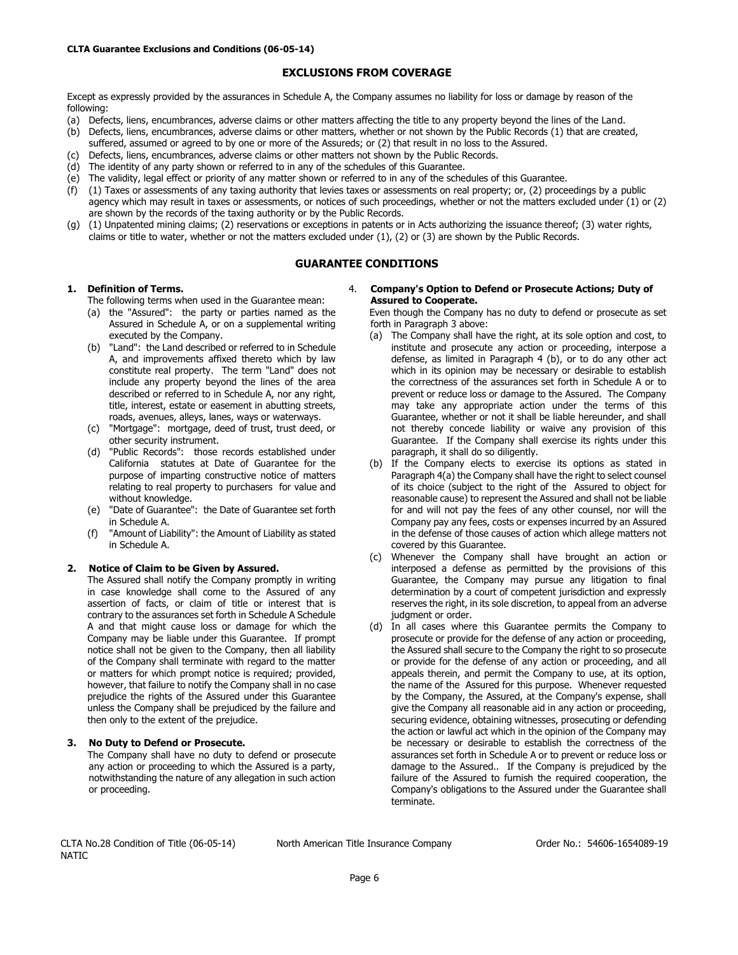#### **EXCLUSIONS FROM COVERAGE**

Except as expressly provided by the assurances in Schedule A, the Company assumes no liability for loss or damage by reason of the following:

- (a) Defects, liens, encumbrances, adverse claims or other matters affecting the title to any property beyond the lines of the Land.
- (b) Defects, liens, encumbrances, adverse claims or other matters, whether or not shown by the Public Records (1) that are created,
- suffered, assumed or agreed to by one or more of the Assureds; or (2) that result in no loss to the Assured.
- (c) Defects, liens, encumbrances, adverse claims or other matters not shown by the Public Records.
- (d) The identity of any party shown or referred to in any of the schedules of this Guarantee.
- (e) The validity, legal effect or priority of any matter shown or referred to in any of the schedules of this Guarantee.
- (f) (1) Taxes or assessments of any taxing authority that levies taxes or assessments on real property; or, (2) proceedings by a public agency which may result in taxes or assessments, or notices of such proceedings, whether or not the matters excluded under (1) or (2) are shown by the records of the taxing authority or by the Public Records.
- (g) (1) Unpatented mining claims; (2) reservations or exceptions in patents or in Acts authorizing the issuance thereof; (3) water rights, claims or title to water, whether or not the matters excluded under (1), (2) or (3) are shown by the Public Records.

#### **GUARANTEE CONDITIONS**

#### **1. Definition of Terms.**

- The following terms when used in the Guarantee mean:
- (a) the "Assured": the party or parties named as the Assured in Schedule A, or on a supplemental writing executed by the Company.
- (b) "Land": the Land described or referred to in Schedule A, and improvements affixed thereto which by law constitute real property. The term "Land" does not include any property beyond the lines of the area described or referred to in Schedule A, nor any right, title, interest, estate or easement in abutting streets, roads, avenues, alleys, lanes, ways or waterways.
- (c) "Mortgage": mortgage, deed of trust, trust deed, or other security instrument.
- (d) "Public Records": those records established under California statutes at Date of Guarantee for the purpose of imparting constructive notice of matters relating to real property to purchasers for value and without knowledge.
- (e) "Date of Guarantee": the Date of Guarantee set forth in Schedule A.
- (f) "Amount of Liability": the Amount of Liability as stated in Schedule A.

#### **2. Notice of Claim to be Given by Assured.**

The Assured shall notify the Company promptly in writing in case knowledge shall come to the Assured of any assertion of facts, or claim of title or interest that is contrary to the assurances set forth in Schedule A Schedule A and that might cause loss or damage for which the Company may be liable under this Guarantee. If prompt notice shall not be given to the Company, then all liability of the Company shall terminate with regard to the matter or matters for which prompt notice is required; provided, however, that failure to notify the Company shall in no case prejudice the rights of the Assured under this Guarantee unless the Company shall be prejudiced by the failure and then only to the extent of the prejudice.

#### **3. No Duty to Defend or Prosecute.**

The Company shall have no duty to defend or prosecute any action or proceeding to which the Assured is a party, notwithstanding the nature of any allegation in such action or proceeding.

#### 4. **Company's Option to Defend or Prosecute Actions; Duty of Assured to Cooperate.**

Even though the Company has no duty to defend or prosecute as set forth in Paragraph 3 above:

- (a) The Company shall have the right, at its sole option and cost, to institute and prosecute any action or proceeding, interpose a defense, as limited in Paragraph 4 (b), or to do any other act which in its opinion may be necessary or desirable to establish the correctness of the assurances set forth in Schedule A or to prevent or reduce loss or damage to the Assured. The Company may take any appropriate action under the terms of this Guarantee, whether or not it shall be liable hereunder, and shall not thereby concede liability or waive any provision of this Guarantee. If the Company shall exercise its rights under this paragraph, it shall do so diligently.
- (b) If the Company elects to exercise its options as stated in Paragraph 4(a) the Company shall have the right to select counsel of its choice (subject to the right of the Assured to object for reasonable cause) to represent the Assured and shall not be liable for and will not pay the fees of any other counsel, nor will the Company pay any fees, costs or expenses incurred by an Assured in the defense of those causes of action which allege matters not covered by this Guarantee.
- (c) Whenever the Company shall have brought an action or interposed a defense as permitted by the provisions of this Guarantee, the Company may pursue any litigation to final determination by a court of competent jurisdiction and expressly reserves the right, in its sole discretion, to appeal from an adverse judgment or order.
- (d) In all cases where this Guarantee permits the Company to prosecute or provide for the defense of any action or proceeding, the Assured shall secure to the Company the right to so prosecute or provide for the defense of any action or proceeding, and all appeals therein, and permit the Company to use, at its option, the name of the Assured for this purpose. Whenever requested by the Company, the Assured, at the Company's expense, shall give the Company all reasonable aid in any action or proceeding, securing evidence, obtaining witnesses, prosecuting or defending the action or lawful act which in the opinion of the Company may be necessary or desirable to establish the correctness of the assurances set forth in Schedule A or to prevent or reduce loss or damage to the Assured.. If the Company is prejudiced by the failure of the Assured to furnish the required cooperation, the Company's obligations to the Assured under the Guarantee shall terminate.

CLTA No.28 Condition of Title (06-05-14) NATIC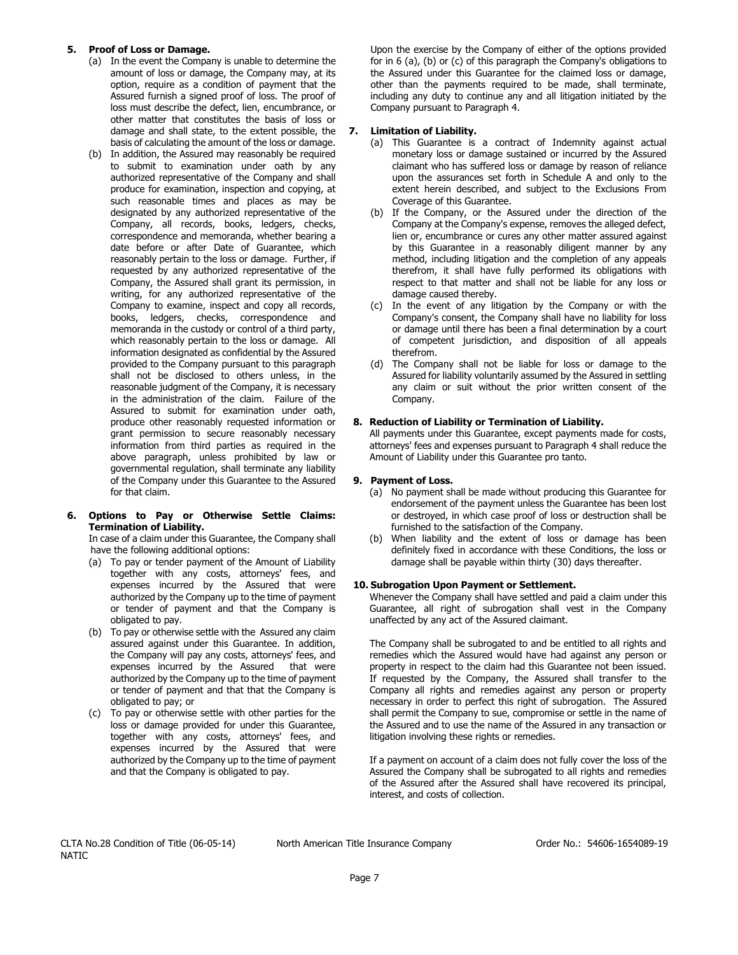#### **5. Proof of Loss or Damage.**

- (a) In the event the Company is unable to determine the amount of loss or damage, the Company may, at its option, require as a condition of payment that the Assured furnish a signed proof of loss. The proof of loss must describe the defect, lien, encumbrance, or other matter that constitutes the basis of loss or damage and shall state, to the extent possible, the basis of calculating the amount of the loss or damage.
- (b) In addition, the Assured may reasonably be required to submit to examination under oath by any authorized representative of the Company and shall produce for examination, inspection and copying, at such reasonable times and places as may be designated by any authorized representative of the Company, all records, books, ledgers, checks, correspondence and memoranda, whether bearing a date before or after Date of Guarantee, which reasonably pertain to the loss or damage. Further, if requested by any authorized representative of the Company, the Assured shall grant its permission, in writing, for any authorized representative of the Company to examine, inspect and copy all records, books, ledgers, checks, correspondence and memoranda in the custody or control of a third party, which reasonably pertain to the loss or damage. All information designated as confidential by the Assured provided to the Company pursuant to this paragraph shall not be disclosed to others unless, in the reasonable judgment of the Company, it is necessary in the administration of the claim. Failure of the Assured to submit for examination under oath, produce other reasonably requested information or grant permission to secure reasonably necessary information from third parties as required in the above paragraph, unless prohibited by law or governmental regulation, shall terminate any liability of the Company under this Guarantee to the Assured for that claim.

#### **6. Options to Pay or Otherwise Settle Claims: Termination of Liability.**

In case of a claim under this Guarantee, the Company shall have the following additional options:

- (a) To pay or tender payment of the Amount of Liability together with any costs, attorneys' fees, and expenses incurred by the Assured that were authorized by the Company up to the time of payment or tender of payment and that the Company is obligated to pay.
- (b) To pay or otherwise settle with the Assured any claim assured against under this Guarantee. In addition, the Company will pay any costs, attorneys' fees, and expenses incurred by the Assured that were authorized by the Company up to the time of payment or tender of payment and that that the Company is obligated to pay; or
- (c) To pay or otherwise settle with other parties for the loss or damage provided for under this Guarantee, together with any costs, attorneys' fees, and expenses incurred by the Assured that were authorized by the Company up to the time of payment and that the Company is obligated to pay.

Upon the exercise by the Company of either of the options provided for in 6 (a), (b) or (c) of this paragraph the Company's obligations to the Assured under this Guarantee for the claimed loss or damage, other than the payments required to be made, shall terminate, including any duty to continue any and all litigation initiated by the Company pursuant to Paragraph 4.

#### **7. Limitation of Liability.**

- (a) This Guarantee is a contract of Indemnity against actual monetary loss or damage sustained or incurred by the Assured claimant who has suffered loss or damage by reason of reliance upon the assurances set forth in Schedule A and only to the extent herein described, and subject to the Exclusions From Coverage of this Guarantee.
- (b) If the Company, or the Assured under the direction of the Company at the Company's expense, removes the alleged defect, lien or, encumbrance or cures any other matter assured against by this Guarantee in a reasonably diligent manner by any method, including litigation and the completion of any appeals therefrom, it shall have fully performed its obligations with respect to that matter and shall not be liable for any loss or damage caused thereby.
- (c) In the event of any litigation by the Company or with the Company's consent, the Company shall have no liability for loss or damage until there has been a final determination by a court of competent jurisdiction, and disposition of all appeals therefrom.
- (d) The Company shall not be liable for loss or damage to the Assured for liability voluntarily assumed by the Assured in settling any claim or suit without the prior written consent of the Company.

#### **8. Reduction of Liability or Termination of Liability.**

All payments under this Guarantee, except payments made for costs, attorneys' fees and expenses pursuant to Paragraph 4 shall reduce the Amount of Liability under this Guarantee pro tanto.

#### **9. Payment of Loss.**

- (a) No payment shall be made without producing this Guarantee for endorsement of the payment unless the Guarantee has been lost or destroyed, in which case proof of loss or destruction shall be furnished to the satisfaction of the Company.
- (b) When liability and the extent of loss or damage has been definitely fixed in accordance with these Conditions, the loss or damage shall be payable within thirty (30) days thereafter.

#### **10. Subrogation Upon Payment or Settlement.**

Whenever the Company shall have settled and paid a claim under this Guarantee, all right of subrogation shall vest in the Company unaffected by any act of the Assured claimant.

The Company shall be subrogated to and be entitled to all rights and remedies which the Assured would have had against any person or property in respect to the claim had this Guarantee not been issued. If requested by the Company, the Assured shall transfer to the Company all rights and remedies against any person or property necessary in order to perfect this right of subrogation. The Assured shall permit the Company to sue, compromise or settle in the name of the Assured and to use the name of the Assured in any transaction or litigation involving these rights or remedies.

If a payment on account of a claim does not fully cover the loss of the Assured the Company shall be subrogated to all rights and remedies of the Assured after the Assured shall have recovered its principal, interest, and costs of collection.

CLTA No.28 Condition of Title (06-05-14) NATIC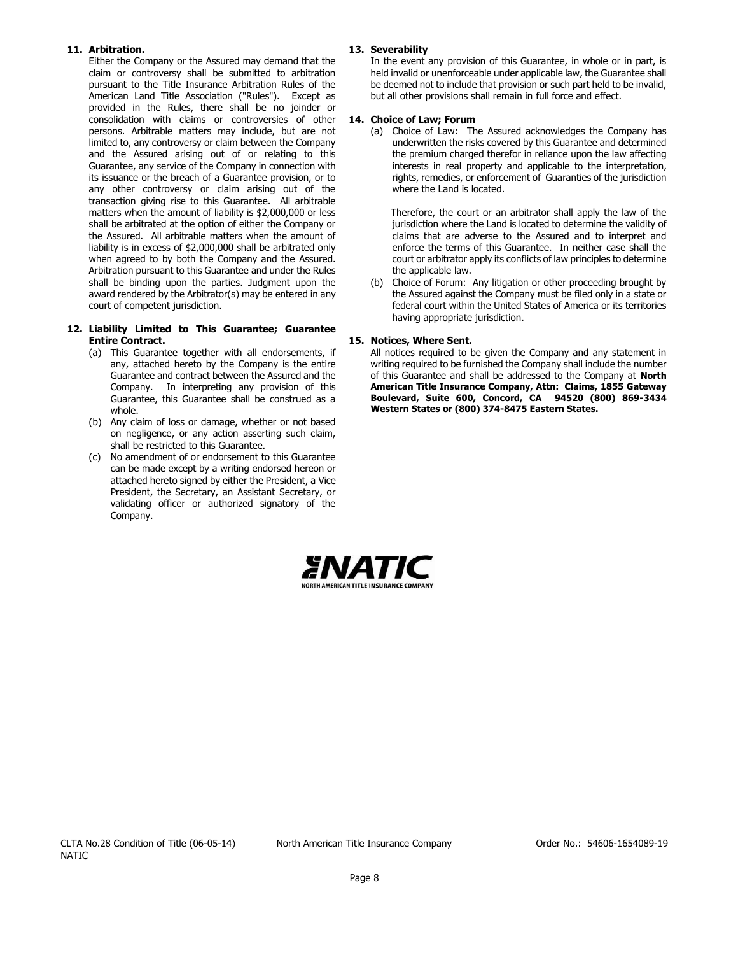#### **11. Arbitration.**

Either the Company or the Assured may demand that the claim or controversy shall be submitted to arbitration pursuant to the Title Insurance Arbitration Rules of the American Land Title Association ("Rules"). Except as provided in the Rules, there shall be no joinder or consolidation with claims or controversies of other persons. Arbitrable matters may include, but are not limited to, any controversy or claim between the Company and the Assured arising out of or relating to this Guarantee, any service of the Company in connection with its issuance or the breach of a Guarantee provision, or to any other controversy or claim arising out of the transaction giving rise to this Guarantee. All arbitrable matters when the amount of liability is \$2,000,000 or less shall be arbitrated at the option of either the Company or the Assured. All arbitrable matters when the amount of liability is in excess of \$2,000,000 shall be arbitrated only when agreed to by both the Company and the Assured. Arbitration pursuant to this Guarantee and under the Rules shall be binding upon the parties. Judgment upon the award rendered by the Arbitrator(s) may be entered in any court of competent jurisdiction.

#### **12. Liability Limited to This Guarantee; Guarantee Entire Contract.**

- (a) This Guarantee together with all endorsements, if any, attached hereto by the Company is the entire Guarantee and contract between the Assured and the Company. In interpreting any provision of this Guarantee, this Guarantee shall be construed as a whole.
- (b) Any claim of loss or damage, whether or not based on negligence, or any action asserting such claim, shall be restricted to this Guarantee.
- (c) No amendment of or endorsement to this Guarantee can be made except by a writing endorsed hereon or attached hereto signed by either the President, a Vice President, the Secretary, an Assistant Secretary, or validating officer or authorized signatory of the Company.

#### **13. Severability**

In the event any provision of this Guarantee, in whole or in part, is held invalid or unenforceable under applicable law, the Guarantee shall be deemed not to include that provision or such part held to be invalid, but all other provisions shall remain in full force and effect.

#### **14. Choice of Law; Forum**

(a) Choice of Law: The Assured acknowledges the Company has underwritten the risks covered by this Guarantee and determined the premium charged therefor in reliance upon the law affecting interests in real property and applicable to the interpretation, rights, remedies, or enforcement of Guaranties of the jurisdiction where the Land is located.

Therefore, the court or an arbitrator shall apply the law of the jurisdiction where the Land is located to determine the validity of claims that are adverse to the Assured and to interpret and enforce the terms of this Guarantee. In neither case shall the court or arbitrator apply its conflicts of law principles to determine the applicable law.

(b) Choice of Forum: Any litigation or other proceeding brought by the Assured against the Company must be filed only in a state or federal court within the United States of America or its territories having appropriate jurisdiction.

#### **15. Notices, Where Sent.**

All notices required to be given the Company and any statement in writing required to be furnished the Company shall include the number of this Guarantee and shall be addressed to the Company at **North American Title Insurance Company, Attn: Claims, 1855 Gateway Boulevard, Suite 600, Concord, CA 94520 (800) 869-3434 Western States or (800) 374-8475 Eastern States.**

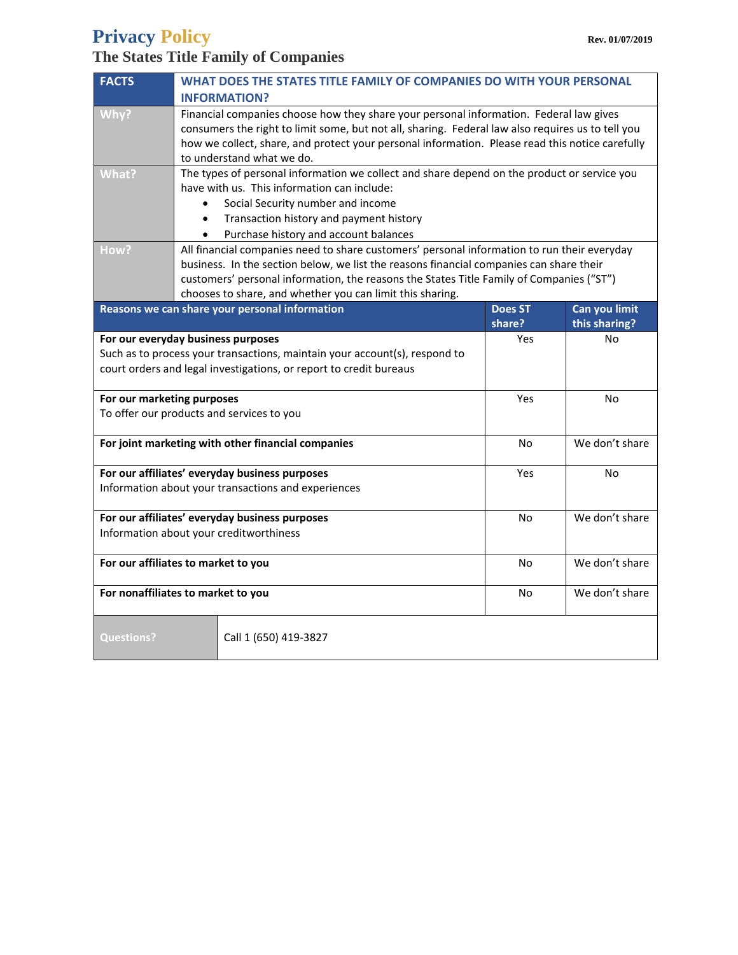# **Privacy Policy Rev. 01/07/2019**

# **The States Title Family of Companies**

| <b>FACTS</b>                                                               | WHAT DOES THE STATES TITLE FAMILY OF COMPANIES DO WITH YOUR PERSONAL                                                                                  |                |                |  |
|----------------------------------------------------------------------------|-------------------------------------------------------------------------------------------------------------------------------------------------------|----------------|----------------|--|
|                                                                            | <b>INFORMATION?</b>                                                                                                                                   |                |                |  |
| Why?                                                                       | Financial companies choose how they share your personal information. Federal law gives                                                                |                |                |  |
|                                                                            | consumers the right to limit some, but not all, sharing. Federal law also requires us to tell you                                                     |                |                |  |
|                                                                            | how we collect, share, and protect your personal information. Please read this notice carefully                                                       |                |                |  |
|                                                                            | to understand what we do.                                                                                                                             |                |                |  |
| What?                                                                      | The types of personal information we collect and share depend on the product or service you                                                           |                |                |  |
|                                                                            | have with us. This information can include:                                                                                                           |                |                |  |
|                                                                            | Social Security number and income                                                                                                                     |                |                |  |
|                                                                            | Transaction history and payment history<br>$\bullet$                                                                                                  |                |                |  |
|                                                                            | Purchase history and account balances                                                                                                                 |                |                |  |
| How?                                                                       | All financial companies need to share customers' personal information to run their everyday                                                           |                |                |  |
|                                                                            | business. In the section below, we list the reasons financial companies can share their                                                               |                |                |  |
|                                                                            | customers' personal information, the reasons the States Title Family of Companies ("ST")<br>chooses to share, and whether you can limit this sharing. |                |                |  |
|                                                                            | Reasons we can share your personal information                                                                                                        | <b>Does ST</b> | Can you limit  |  |
|                                                                            |                                                                                                                                                       | share?         | this sharing?  |  |
|                                                                            | For our everyday business purposes                                                                                                                    | Yes            | No             |  |
| Such as to process your transactions, maintain your account(s), respond to |                                                                                                                                                       |                |                |  |
| court orders and legal investigations, or report to credit bureaus         |                                                                                                                                                       |                |                |  |
|                                                                            |                                                                                                                                                       |                |                |  |
| For our marketing purposes                                                 |                                                                                                                                                       | Yes            | N <sub>0</sub> |  |
| To offer our products and services to you                                  |                                                                                                                                                       |                |                |  |
|                                                                            |                                                                                                                                                       |                |                |  |
| For joint marketing with other financial companies                         |                                                                                                                                                       | No             | We don't share |  |
|                                                                            |                                                                                                                                                       |                |                |  |
|                                                                            | For our affiliates' everyday business purposes                                                                                                        | Yes            | <b>No</b>      |  |
| Information about your transactions and experiences                        |                                                                                                                                                       |                |                |  |
|                                                                            | For our affiliates' everyday business purposes                                                                                                        | No             | We don't share |  |
| Information about your creditworthiness                                    |                                                                                                                                                       |                |                |  |
|                                                                            |                                                                                                                                                       |                |                |  |
| For our affiliates to market to you                                        |                                                                                                                                                       | No             | We don't share |  |
|                                                                            |                                                                                                                                                       |                |                |  |
| For nonaffiliates to market to you                                         |                                                                                                                                                       | No             | We don't share |  |
|                                                                            |                                                                                                                                                       |                |                |  |
|                                                                            |                                                                                                                                                       |                |                |  |
| Questions?                                                                 | Call 1 (650) 419-3827                                                                                                                                 |                |                |  |
|                                                                            |                                                                                                                                                       |                |                |  |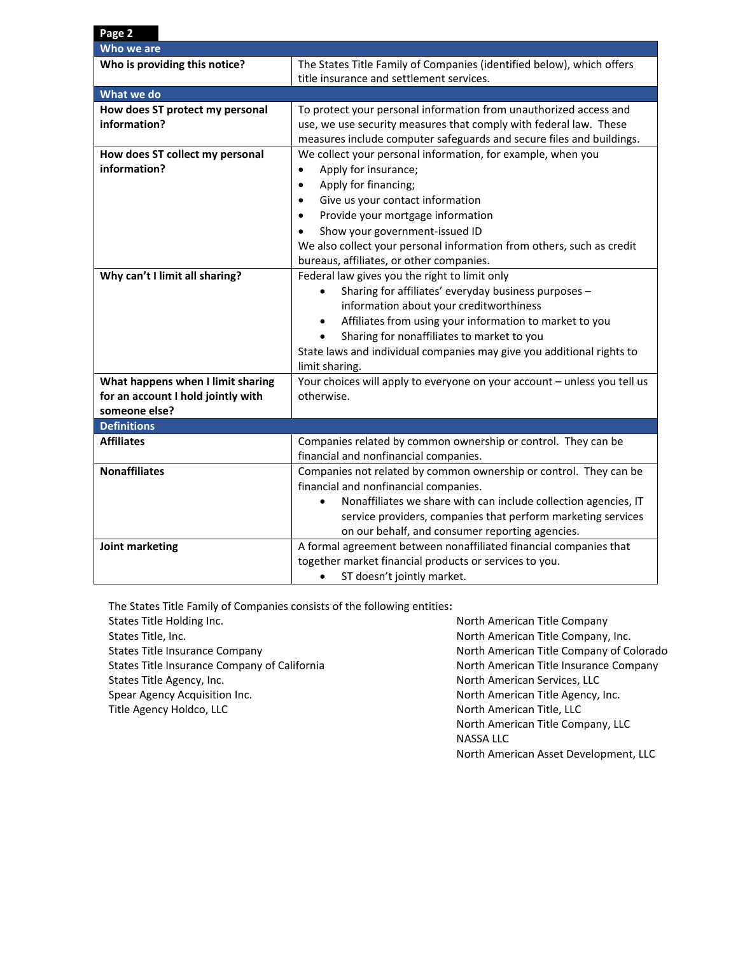| Page 2                             |                                                                              |  |  |
|------------------------------------|------------------------------------------------------------------------------|--|--|
| Who we are                         |                                                                              |  |  |
| Who is providing this notice?      | The States Title Family of Companies (identified below), which offers        |  |  |
|                                    | title insurance and settlement services.                                     |  |  |
| What we do                         |                                                                              |  |  |
| How does ST protect my personal    | To protect your personal information from unauthorized access and            |  |  |
| information?                       | use, we use security measures that comply with federal law. These            |  |  |
|                                    | measures include computer safeguards and secure files and buildings.         |  |  |
| How does ST collect my personal    | We collect your personal information, for example, when you                  |  |  |
| information?                       | Apply for insurance;<br>$\bullet$                                            |  |  |
|                                    | Apply for financing;<br>$\bullet$                                            |  |  |
|                                    | Give us your contact information<br>$\bullet$                                |  |  |
|                                    | Provide your mortgage information<br>$\bullet$                               |  |  |
|                                    | Show your government-issued ID                                               |  |  |
|                                    | We also collect your personal information from others, such as credit        |  |  |
|                                    | bureaus, affiliates, or other companies.                                     |  |  |
| Why can't I limit all sharing?     | Federal law gives you the right to limit only                                |  |  |
|                                    | Sharing for affiliates' everyday business purposes -<br>$\bullet$            |  |  |
|                                    | information about your creditworthiness                                      |  |  |
|                                    | Affiliates from using your information to market to you<br>$\bullet$         |  |  |
|                                    | Sharing for nonaffiliates to market to you                                   |  |  |
|                                    | State laws and individual companies may give you additional rights to        |  |  |
|                                    | limit sharing.                                                               |  |  |
| What happens when I limit sharing  | Your choices will apply to everyone on your account - unless you tell us     |  |  |
| for an account I hold jointly with | otherwise.                                                                   |  |  |
| someone else?                      |                                                                              |  |  |
| <b>Definitions</b>                 |                                                                              |  |  |
| <b>Affiliates</b>                  | Companies related by common ownership or control. They can be                |  |  |
|                                    | financial and nonfinancial companies.                                        |  |  |
| <b>Nonaffiliates</b>               | Companies not related by common ownership or control. They can be            |  |  |
|                                    | financial and nonfinancial companies.                                        |  |  |
|                                    | Nonaffiliates we share with can include collection agencies, IT<br>$\bullet$ |  |  |
|                                    | service providers, companies that perform marketing services                 |  |  |
|                                    | on our behalf, and consumer reporting agencies.                              |  |  |
| Joint marketing                    | A formal agreement between nonaffiliated financial companies that            |  |  |
|                                    | together market financial products or services to you.                       |  |  |
|                                    | ST doesn't jointly market.                                                   |  |  |

The States Title Family of Companies consists of the following entities**:**

States Title Holding Inc. States Title, Inc. States Title Insurance Company States Title Insurance Company of California States Title Agency, Inc. Spear Agency Acquisition Inc. Title Agency Holdco, LLC

North American Title Company North American Title Company, Inc. North American Title Company of Colorado North American Title Insurance Company North American Services, LLC North American Title Agency, Inc. North American Title, LLC North American Title Company, LLC NASSA LLC North American Asset Development, LLC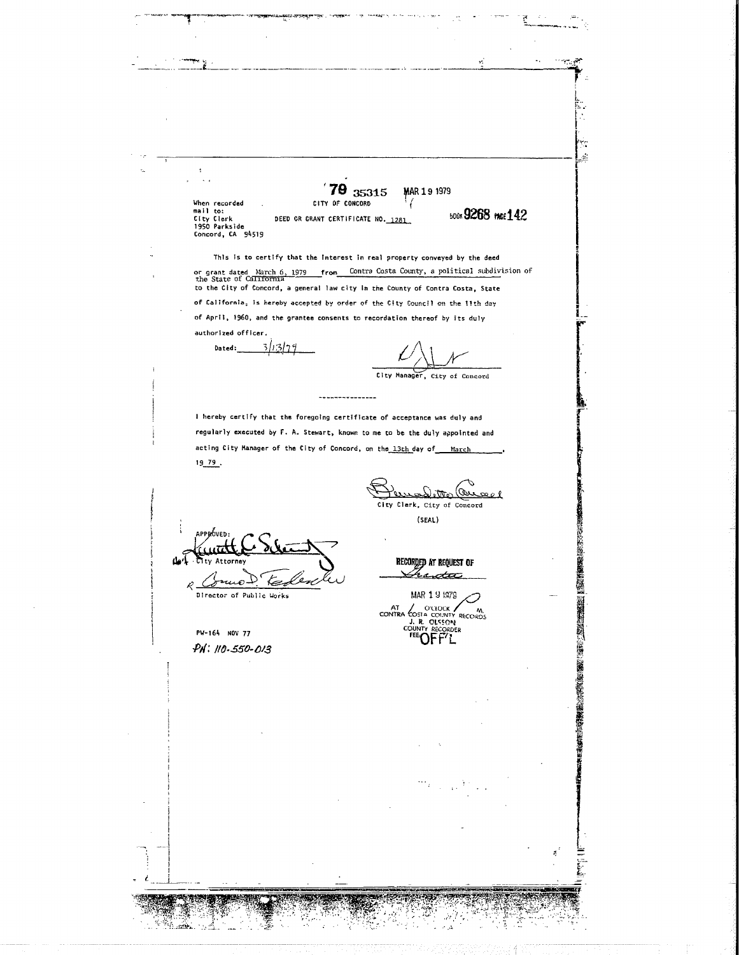$\sim \alpha_{\rm 20}^2$  $\ddot{\phantom{0}}$  $\ddot{\phantom{a}}$  $\ddot{\phantom{0}}$ 79 35315 MAR 19 1979 When recorded<br>mail to:<br>City Clerk<br>1950 Parkside<br>Concord, CA 94519 CITY OF CONCORD **500K 9268 PAGE 142** DEED OR GRANT CERTIFICATE NO. 1281 This is to certify that the interest in real property conveyed by the deed or grant dated March 6, 1979 from<br>the State of Callifornia Contra Costa County, a political subdivision of to the City of Concord, a general law city in the County of Contra Costa, State of California, is hereby accepted by order of the City Council on the 11th day of April, 1960, and the grantee consents to recordation thereof by its duly authorized officer. Dated:  $3/13/29$ City Manager, City of Concord ---------------I hereby certify that the foregoing certificate of acceptance was duly and regularly executed by F. A. Stewart, known to me to be the duly appointed and acting City Manager of the City of Concord, on the 13th day of March 19 79. الکیر City Clerk, City of Concord  $(SEAL)$ άνευ RECORDED AT REQUEST OF Attorn  $4.1 - 17$ esc nuo. ⇐ Ŕ Director of Public Works MAR 19 1979 CONTRA COSTA COLLOCK AND CONTRA COSTA RECORDS PW-164 NOV 77 PH: 110-550-013 **START TO AN ABOVE DENTE AVENUE DE RAMARA**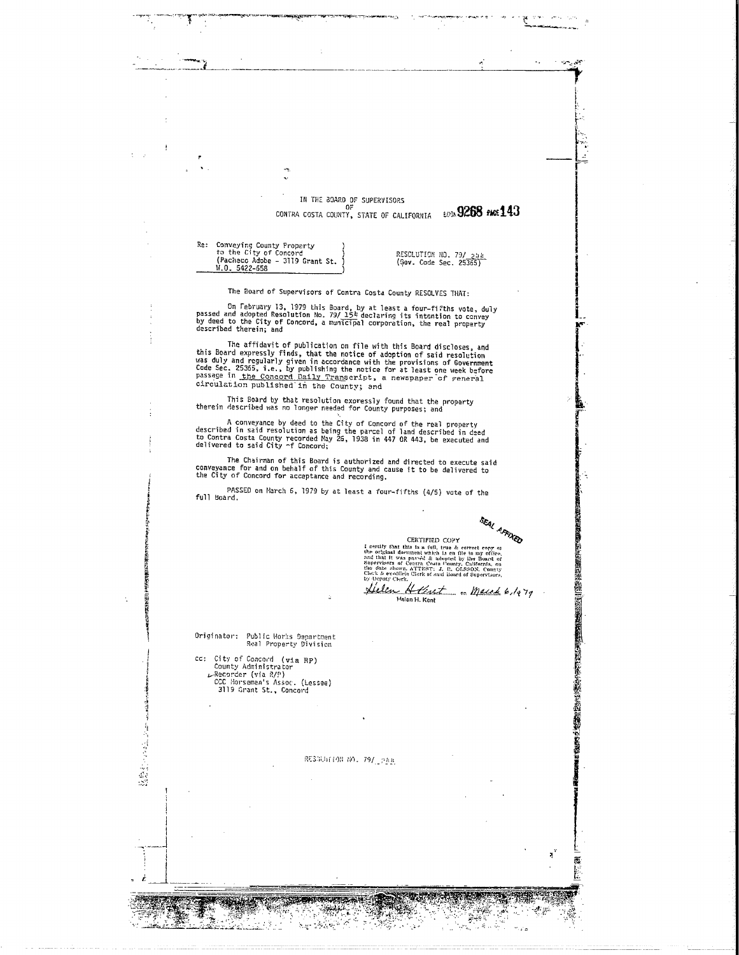IN THE BOARD OF SUPERVISORS CONTRA COSTA COUNTY, STATE OF CALIFORNIA E03x9268 PACE143

Re: Conveying County Property<br>to the City of Concord<br>(Pacheco Adobe - 3119 Grant St. W.O. 5422-658

RESCLUTION NO. 79/ 244

 $\sim$   $\sim$ 

The Board of Supervisors of Contra Costa County RESOLVES THAT:

On February 13, 1979 this Board, by at least a four-fifths vote, duly<br>by deed and adopted Resolution No. 79/ 154 declaring its intention to convey<br>by deed to the City of Concord, a municipal corporation, the real property<br>

The affidavit of publication on file with this Board discloses, and<br>this Board expressly finds, that the notice of adoption of said resolution<br>was duly and regularly given in accordance with the provisions of Government<br>C circulation published in the County; and

This Board by that resolution expressly found that the property<br>therein described was no longer needed for County purposes; and

A conveyance by deed to the City of Concord of the real property<br>described in said resolution as being the parcel of land described in deed<br>to Contra Costa County recorded Nay 26, 1938 in 447 OR 443, be executed and<br>delive

The Chairman of this Board is authorized and directed to execute said<br>conveyance for and on behalf of this County and cause it to be delivered to<br>the City of Concord for acceptance and recording.

PASSED on March 6, 1979 by at least a four-fifths (4/5) vote of the<br>full Board.

SEAL AFFIXED

環境

 $-46$ erik<br>Prim Y.

 $\mathcal{A}_{\mu}$  .  $\mathcal{F}^{\mathcal{F}}_{\mathcal{F}^{\mathcal{F}}}$  (国内の現代の)の (国内の)の) (国内の) (国内の) (国内の) (国内の) (国内の) (国内の)

Learning March 1961<br>TEED COPY on the second term of the original description of the second<br>random term of a and that it was passed as abouted by the Board of single<br>ressers of Contra Coolar Contract in the second term of by Deputy Circa.<br>Leclen Helent . March 6, 1979

CERTIFIED COPY

Helen H. Kent

Originator: Public Morks Department<br>Real Property Division

cc: City of Concord (via RP)<br>County Administrator Pecorder (via R/P)<br>CCC Horseman's Assoc. (Lessee)<br>3119 Grant St., Concord

2014年10月14日

RESGLATION NO. 79/12PAA

**REGISTER COMMUNISTIC COMMUNIST PROPERTY AND INCOME.** 

 $\mathbb{Z}_{\mathbb{Z}_{2}}$ 

الموارقين البراز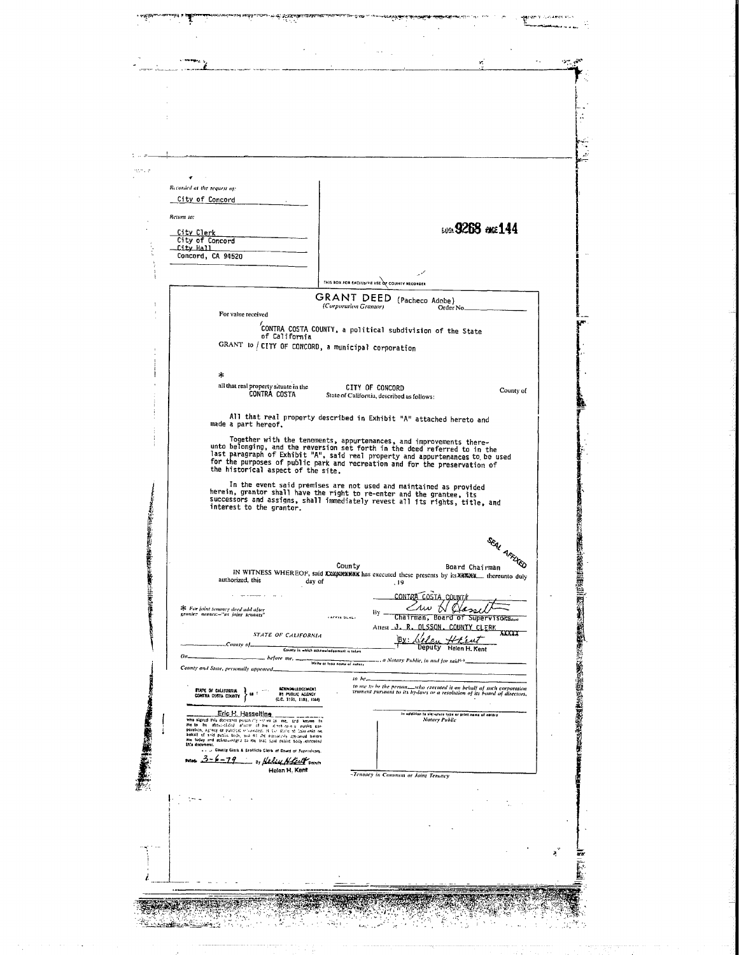portanensis<br>E للمام ماريان  $\sigma_{\rm eff}$  $\mathbf{r}$ Recorded at the request of: City of Concord .<br>Return to: **609.9268 and 144** City Clerk<br>City of Concord<br>City Hall<br>Concord, CA 94520 THIS BOX FOR EXCLUSIVE USE OF COUNTY RECORDER GRANT DEED (Pacheco Adobe) For value received ,<br>CONTRA COSTA COUNTY, a political subdivision of the State<br>of California GRANT to / CITY OF CONCORD, a municipal corporation  $\ast$ all that real property situate in the<br>CONTRA COSTA **CITY OF CONCORD**<br>State of California, described as follows: County of All that real property described in Exhibit "A" attached hereto and made a part hereof. Together with the tenements, appurtenances, and improvements there-<br>unto belonging, and the reversion set forth in the deed referred to in the<br>last paragraph of Exhibit "A", said real property and appurtenances to be used<br> In the event said premises are not used and maintained as provided<br>herein, grantor shall have the right to re-enter and the grantee, its<br>successors and assigns, shall immediately revest all its rights, title, and<br>interest 2010年後の国家のおよび、2010年の日本の国家のおよび、2010年には、2010年には、2010年には、2010年には、2010年には、2010年には、2010年には、2010年には、2010年に SEAL AFFINED County Board Chairman IN WITNESS WHEREOF, said XXXXXXXXXX has executed these presents by its XXXXXX thereunto duly authorized, this day of  $\frac{1}{19}$ conteg costa, countr By CAW Hassell \* For joint tenancy deed add after<br>prantee names:="ax joint tenants" **CAFFIX SLALL** Attest J. R. DLSSON, COUNTY CLERK STATE OF CALIFORNIA By: Gelen Hreut County of County in which acknowledgement is taken Helen H. Kent ... hefore me, write at trap name of natary ., a Notary Public, in and for said<sup>6.0</sup>. County and State, personally appeared to me to be the person. who executed it on behalf of such corporation<br>trument pursuant to its by-laws or a resolution of its board of directors, Acknowledisimer)<br>By Public Acency<br>(C.C. 1191, 1181, 1184) **STATE OF CALIFORNIA**<br>CONTRA COUNTY Eric H. Hasseltine los in siglatuto type or<br>Notary Public print neme of ne **TELESCOPE** idabusansi persahilih etiwa<br>Hasilidak i aliastri ali ilug ody, ma B1 arc porcarzaly<br>Agra ta me toal suad publ .<br>County Ciera & Exofficio Ciera of Cound of Runnrykory 3-6-19 . Nelsy Notes on Helen H, Kent -Tenancy in Common or Joint Tenancy Ą **ON THE REAL TENSTE**  $\mathcal{L}$ لأروهم  $\mathcal{L}_{\rm{2}}$  ,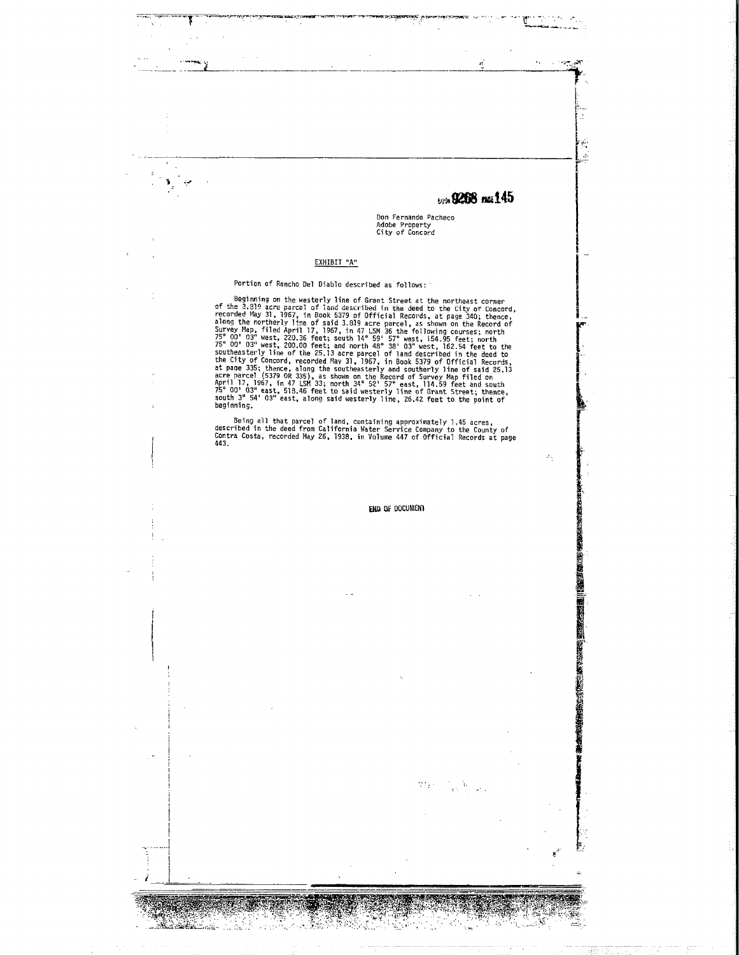son 0268 ms145

s eye  $\mathbf{r}$ 

 $\hat{P}_{\rm{in}}$ 

**THE REAL** H

Don Fernando Pacheco Adobe Property<br>City of Concord

#### ЕХНІВІТ "А"

ī

來

#### Portion of Rancho Del Diablo described as follows:

Beginning on the westerline of Grant Street as surfaces.<br>
Beginning on the westerline of Grant Street at the northeast corner<br>
of the 3.819 acre pareel of land described in the deed to the City of Concord,<br>
recorded May 3

Being all that parcel of land, containing approximately 1.45 acres,<br>described in the deed from California Water Service Company to the County of<br>Contra Costa, recorded May 26, 1938, in Volume 447 of Official Records at pag

END OF DOCUMENT

 $\mathcal{H} = \mathcal{H}$